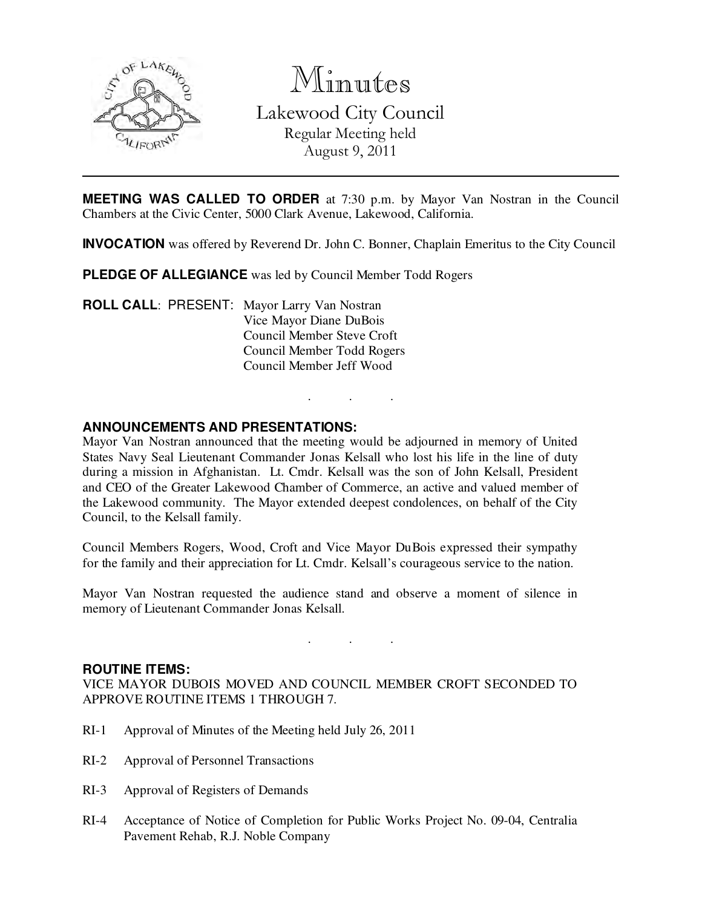

Minutes Lakewood City Council Regular Meeting held August 9, 2011

**MEETING WAS CALLED TO ORDER** at 7:30 p.m. by Mayor Van Nostran in the Council Chambers at the Civic Center, 5000 Clark Avenue, Lakewood, California.

**INVOCATION** was offered by Reverend Dr. John C. Bonner, Chaplain Emeritus to the City Council

. . .

**PLEDGE OF ALLEGIANCE** was led by Council Member Todd Rogers

**ROLL CALL**: PRESENT: Mayor Larry Van Nostran Vice Mayor Diane DuBois Council Member Steve Croft Council Member Todd Rogers Council Member Jeff Wood

### **ANNOUNCEMENTS AND PRESENTATIONS:**

Mayor Van Nostran announced that the meeting would be adjourned in memory of United States Navy Seal Lieutenant Commander Jonas Kelsall who lost his life in the line of duty during a mission in Afghanistan. Lt. Cmdr. Kelsall was the son of John Kelsall, President and CEO of the Greater Lakewood Chamber of Commerce, an active and valued member of the Lakewood community. The Mayor extended deepest condolences, on behalf of the City Council, to the Kelsall family.

Council Members Rogers, Wood, Croft and Vice Mayor DuBois expressed their sympathy for the family and their appreciation for Lt. Cmdr. Kelsall's courageous service to the nation.

Mayor Van Nostran requested the audience stand and observe a moment of silence in memory of Lieutenant Commander Jonas Kelsall.

. . .

### **ROUTINE ITEMS:**

VICE MAYOR DUBOIS MOVED AND COUNCIL MEMBER CROFT SECONDED TO APPROVE ROUTINE ITEMS 1 THROUGH 7.

- RI-1 Approval of Minutes of the Meeting held July 26, 2011
- RI-2 Approval of Personnel Transactions
- RI-3 Approval of Registers of Demands
- RI-4 Acceptance of Notice of Completion for Public Works Project No. 09-04, Centralia Pavement Rehab, R.J. Noble Company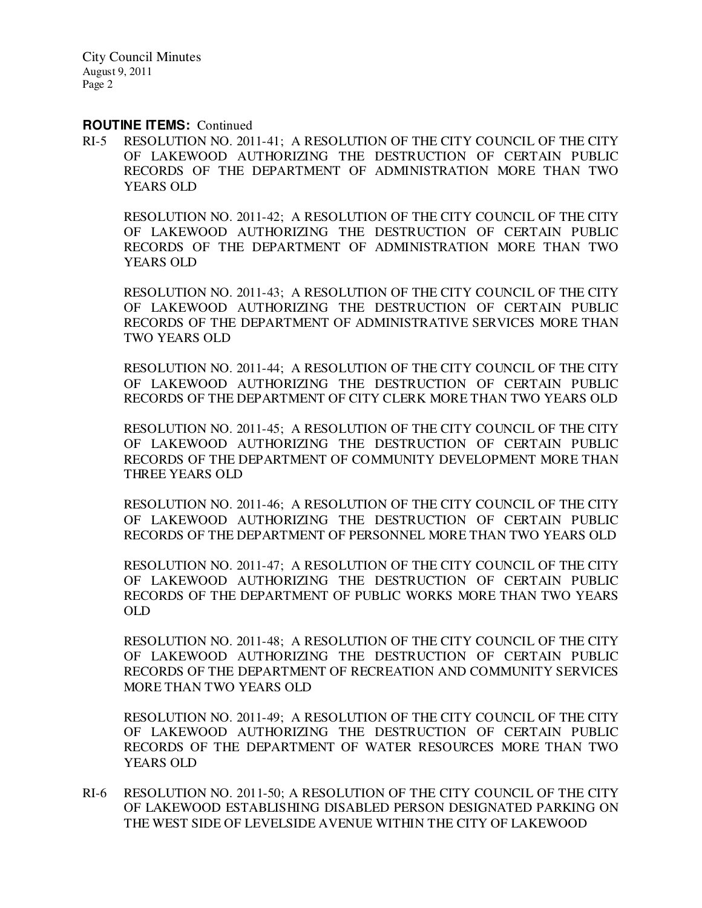### **ROUTINE ITEMS: Continued**

RI-5 RESOLUTION NO. 2011-41; A RESOLUTION OF THE CITY COUNCIL OF THE CITY OF LAKEWOOD AUTHORIZING THE DESTRUCTION OF CERTAIN PUBLIC RECORDS OF THE DEPARTMENT OF ADMINISTRATION MORE THAN TWO YEARS OLD

RESOLUTION NO. 2011-42; A RESOLUTION OF THE CITY COUNCIL OF THE CITY OF LAKEWOOD AUTHORIZING THE DESTRUCTION OF CERTAIN PUBLIC RECORDS OF THE DEPARTMENT OF ADMINISTRATION MORE THAN TWO YEARS OLD

RESOLUTION NO. 2011-43; A RESOLUTION OF THE CITY COUNCIL OF THE CITY OF LAKEWOOD AUTHORIZING THE DESTRUCTION OF CERTAIN PUBLIC RECORDS OF THE DEPARTMENT OF ADMINISTRATIVE SERVICES MORE THAN TWO YEARS OLD

RESOLUTION NO. 2011-44; A RESOLUTION OF THE CITY COUNCIL OF THE CITY OF LAKEWOOD AUTHORIZING THE DESTRUCTION OF CERTAIN PUBLIC RECORDS OF THE DEPARTMENT OF CITY CLERK MORE THAN TWO YEARS OLD

RESOLUTION NO. 2011-45; A RESOLUTION OF THE CITY COUNCIL OF THE CITY OF LAKEWOOD AUTHORIZING THE DESTRUCTION OF CERTAIN PUBLIC RECORDS OF THE DEPARTMENT OF COMMUNITY DEVELOPMENT MORE THAN THREE YEARS OLD

RESOLUTION NO. 2011-46; A RESOLUTION OF THE CITY COUNCIL OF THE CITY OF LAKEWOOD AUTHORIZING THE DESTRUCTION OF CERTAIN PUBLIC RECORDS OF THE DEPARTMENT OF PERSONNEL MORE THAN TWO YEARS OLD

RESOLUTION NO. 2011-47; A RESOLUTION OF THE CITY COUNCIL OF THE CITY OF LAKEWOOD AUTHORIZING THE DESTRUCTION OF CERTAIN PUBLIC RECORDS OF THE DEPARTMENT OF PUBLIC WORKS MORE THAN TWO YEARS OLD

RESOLUTION NO. 2011-48; A RESOLUTION OF THE CITY COUNCIL OF THE CITY OF LAKEWOOD AUTHORIZING THE DESTRUCTION OF CERTAIN PUBLIC RECORDS OF THE DEPARTMENT OF RECREATION AND COMMUNITY SERVICES MORE THAN TWO YEARS OLD

RESOLUTION NO. 2011-49; A RESOLUTION OF THE CITY COUNCIL OF THE CITY OF LAKEWOOD AUTHORIZING THE DESTRUCTION OF CERTAIN PUBLIC RECORDS OF THE DEPARTMENT OF WATER RESOURCES MORE THAN TWO YEARS OLD

RI-6 RESOLUTION NO. 2011-50; A RESOLUTION OF THE CITY COUNCIL OF THE CITY OF LAKEWOOD ESTABLISHING DISABLED PERSON DESIGNATED PARKING ON THE WEST SIDE OF LEVELSIDE AVENUE WITHIN THE CITY OF LAKEWOOD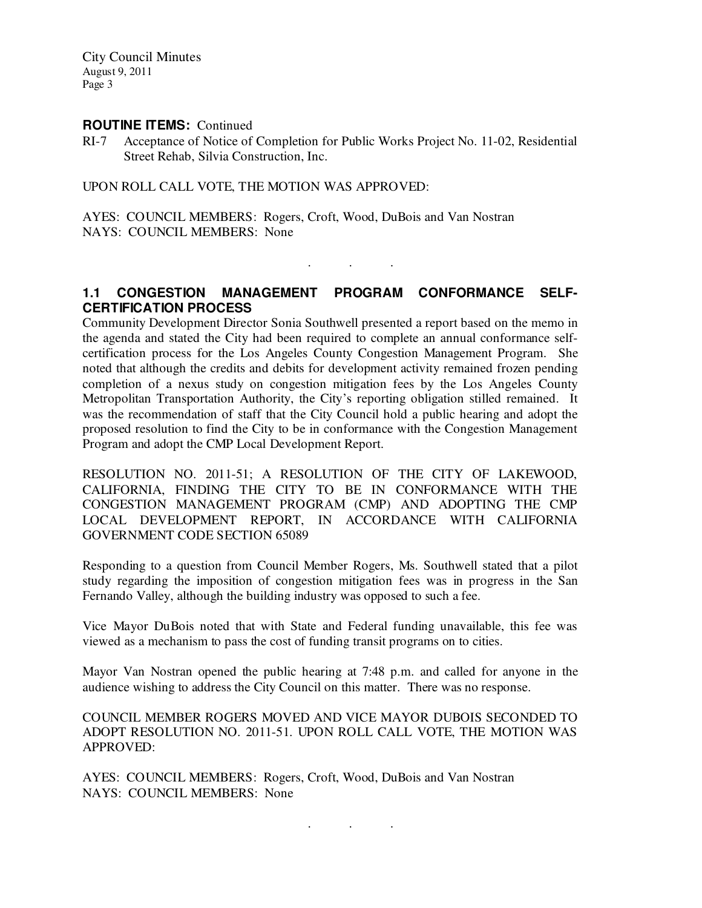### **ROUTINE ITEMS: Continued**

RI-7 Acceptance of Notice of Completion for Public Works Project No. 11-02, Residential Street Rehab, Silvia Construction, Inc.

UPON ROLL CALL VOTE, THE MOTION WAS APPROVED:

AYES: COUNCIL MEMBERS: Rogers, Croft, Wood, DuBois and Van Nostran NAYS: COUNCIL MEMBERS: None

# **1.1 CONGESTION MANAGEMENT PROGRAM CONFORMANCE SELF-CERTIFICATION PROCESS**

. . .

Community Development Director Sonia Southwell presented a report based on the memo in the agenda and stated the City had been required to complete an annual conformance selfcertification process for the Los Angeles County Congestion Management Program. She noted that although the credits and debits for development activity remained frozen pending completion of a nexus study on congestion mitigation fees by the Los Angeles County Metropolitan Transportation Authority, the City's reporting obligation stilled remained. It was the recommendation of staff that the City Council hold a public hearing and adopt the proposed resolution to find the City to be in conformance with the Congestion Management Program and adopt the CMP Local Development Report.

RESOLUTION NO. 2011-51; A RESOLUTION OF THE CITY OF LAKEWOOD, CALIFORNIA, FINDING THE CITY TO BE IN CONFORMANCE WITH THE CONGESTION MANAGEMENT PROGRAM (CMP) AND ADOPTING THE CMP LOCAL DEVELOPMENT REPORT, IN ACCORDANCE WITH CALIFORNIA GOVERNMENT CODE SECTION 65089

Responding to a question from Council Member Rogers, Ms. Southwell stated that a pilot study regarding the imposition of congestion mitigation fees was in progress in the San Fernando Valley, although the building industry was opposed to such a fee.

Vice Mayor DuBois noted that with State and Federal funding unavailable, this fee was viewed as a mechanism to pass the cost of funding transit programs on to cities.

Mayor Van Nostran opened the public hearing at 7:48 p.m. and called for anyone in the audience wishing to address the City Council on this matter. There was no response.

COUNCIL MEMBER ROGERS MOVED AND VICE MAYOR DUBOIS SECONDED TO ADOPT RESOLUTION NO. 2011-51. UPON ROLL CALL VOTE, THE MOTION WAS APPROVED:

AYES: COUNCIL MEMBERS: Rogers, Croft, Wood, DuBois and Van Nostran NAYS: COUNCIL MEMBERS: None

. . .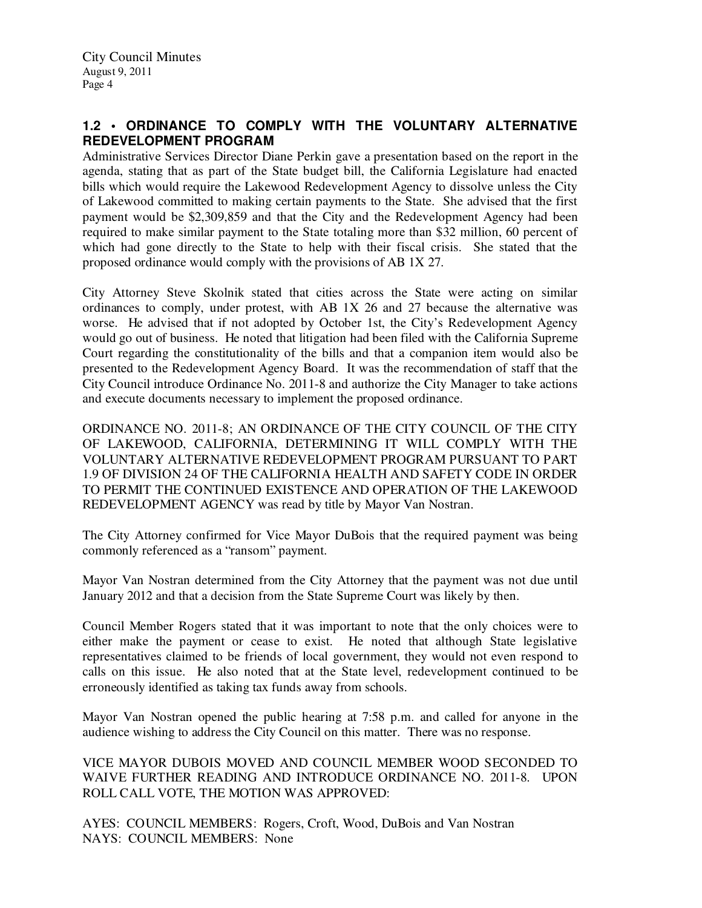# **1.2 • ORDINANCE TO COMPLY WITH THE VOLUNTARY ALTERNATIVE REDEVELOPMENT PROGRAM**

Administrative Services Director Diane Perkin gave a presentation based on the report in the agenda, stating that as part of the State budget bill, the California Legislature had enacted bills which would require the Lakewood Redevelopment Agency to dissolve unless the City of Lakewood committed to making certain payments to the State. She advised that the first payment would be \$2,309,859 and that the City and the Redevelopment Agency had been required to make similar payment to the State totaling more than \$32 million, 60 percent of which had gone directly to the State to help with their fiscal crisis. She stated that the proposed ordinance would comply with the provisions of AB 1X 27.

City Attorney Steve Skolnik stated that cities across the State were acting on similar ordinances to comply, under protest, with AB 1X 26 and 27 because the alternative was worse. He advised that if not adopted by October 1st, the City's Redevelopment Agency would go out of business. He noted that litigation had been filed with the California Supreme Court regarding the constitutionality of the bills and that a companion item would also be presented to the Redevelopment Agency Board. It was the recommendation of staff that the City Council introduce Ordinance No. 2011-8 and authorize the City Manager to take actions and execute documents necessary to implement the proposed ordinance.

ORDINANCE NO. 2011-8; AN ORDINANCE OF THE CITY COUNCIL OF THE CITY OF LAKEWOOD, CALIFORNIA, DETERMINING IT WILL COMPLY WITH THE VOLUNTARY ALTERNATIVE REDEVELOPMENT PROGRAM PURSUANT TO PART 1.9 OF DIVISION 24 OF THE CALIFORNIA HEALTH AND SAFETY CODE IN ORDER TO PERMIT THE CONTINUED EXISTENCE AND OPERATION OF THE LAKEWOOD REDEVELOPMENT AGENCY was read by title by Mayor Van Nostran.

The City Attorney confirmed for Vice Mayor DuBois that the required payment was being commonly referenced as a "ransom" payment.

Mayor Van Nostran determined from the City Attorney that the payment was not due until January 2012 and that a decision from the State Supreme Court was likely by then.

Council Member Rogers stated that it was important to note that the only choices were to either make the payment or cease to exist. He noted that although State legislative representatives claimed to be friends of local government, they would not even respond to calls on this issue. He also noted that at the State level, redevelopment continued to be erroneously identified as taking tax funds away from schools.

Mayor Van Nostran opened the public hearing at 7:58 p.m. and called for anyone in the audience wishing to address the City Council on this matter. There was no response.

VICE MAYOR DUBOIS MOVED AND COUNCIL MEMBER WOOD SECONDED TO WAIVE FURTHER READING AND INTRODUCE ORDINANCE NO. 2011-8. UPON ROLL CALL VOTE, THE MOTION WAS APPROVED:

AYES: COUNCIL MEMBERS: Rogers, Croft, Wood, DuBois and Van Nostran NAYS: COUNCIL MEMBERS: None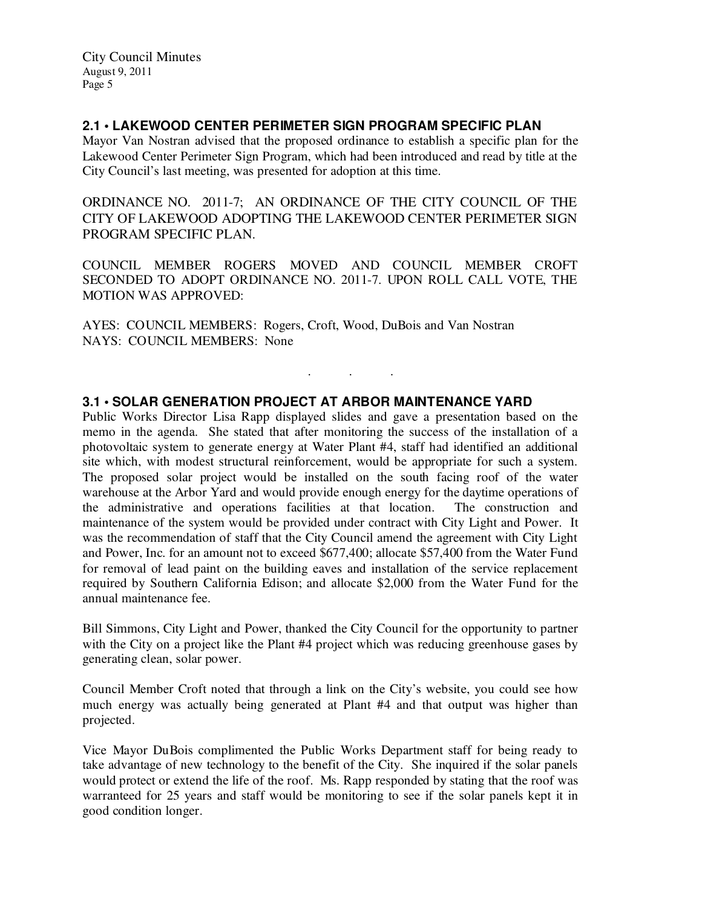# **2.1 • LAKEWOOD CENTER PERIMETER SIGN PROGRAM SPECIFIC PLAN**

Mayor Van Nostran advised that the proposed ordinance to establish a specific plan for the Lakewood Center Perimeter Sign Program, which had been introduced and read by title at the City Council's last meeting, was presented for adoption at this time.

ORDINANCE NO. 2011-7; AN ORDINANCE OF THE CITY COUNCIL OF THE CITY OF LAKEWOOD ADOPTING THE LAKEWOOD CENTER PERIMETER SIGN PROGRAM SPECIFIC PLAN.

COUNCIL MEMBER ROGERS MOVED AND COUNCIL MEMBER CROFT SECONDED TO ADOPT ORDINANCE NO. 2011-7. UPON ROLL CALL VOTE, THE MOTION WAS APPROVED:

. . .

AYES: COUNCIL MEMBERS: Rogers, Croft, Wood, DuBois and Van Nostran NAYS: COUNCIL MEMBERS: None

## **3.1 • SOLAR GENERATION PROJECT AT ARBOR MAINTENANCE YARD**

Public Works Director Lisa Rapp displayed slides and gave a presentation based on the memo in the agenda. She stated that after monitoring the success of the installation of a photovoltaic system to generate energy at Water Plant #4, staff had identified an additional site which, with modest structural reinforcement, would be appropriate for such a system. The proposed solar project would be installed on the south facing roof of the water warehouse at the Arbor Yard and would provide enough energy for the daytime operations of the administrative and operations facilities at that location. The construction and maintenance of the system would be provided under contract with City Light and Power. It was the recommendation of staff that the City Council amend the agreement with City Light and Power, Inc. for an amount not to exceed \$677,400; allocate \$57,400 from the Water Fund for removal of lead paint on the building eaves and installation of the service replacement required by Southern California Edison; and allocate \$2,000 from the Water Fund for the annual maintenance fee.

Bill Simmons, City Light and Power, thanked the City Council for the opportunity to partner with the City on a project like the Plant #4 project which was reducing greenhouse gases by generating clean, solar power.

Council Member Croft noted that through a link on the City's website, you could see how much energy was actually being generated at Plant #4 and that output was higher than projected.

Vice Mayor DuBois complimented the Public Works Department staff for being ready to take advantage of new technology to the benefit of the City. She inquired if the solar panels would protect or extend the life of the roof. Ms. Rapp responded by stating that the roof was warranteed for 25 years and staff would be monitoring to see if the solar panels kept it in good condition longer.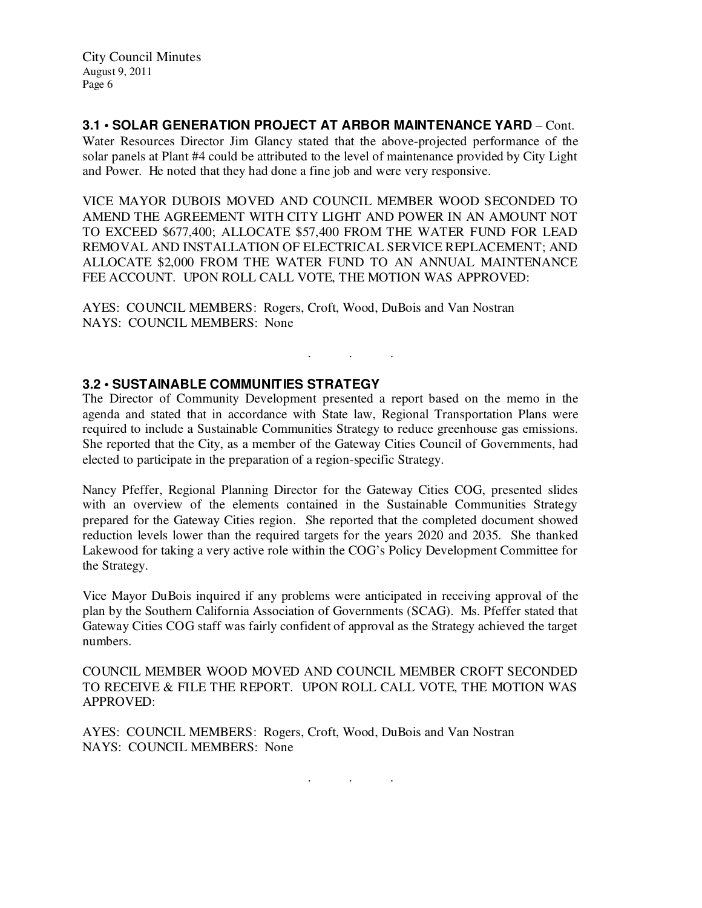**3.1 • SOLAR GENERATION PROJECT AT ARBOR MAINTENANCE YARD** – Cont. Water Resources Director Jim Glancy stated that the above-projected performance of the solar panels at Plant #4 could be attributed to the level of maintenance provided by City Light and Power. He noted that they had done a fine job and were very responsive.

VICE MAYOR DUBOIS MOVED AND COUNCIL MEMBER WOOD SECONDED TO AMEND THE AGREEMENT WITH CITY LIGHT AND POWER IN AN AMOUNT NOT TO EXCEED \$677,400; ALLOCATE \$57,400 FROM THE WATER FUND FOR LEAD REMOVAL AND INSTALLATION OF ELECTRICAL SERVICE REPLACEMENT; AND ALLOCATE \$2,000 FROM THE WATER FUND TO AN ANNUAL MAINTENANCE FEE ACCOUNT. UPON ROLL CALL VOTE, THE MOTION WAS APPROVED:

AYES: COUNCIL MEMBERS: Rogers, Croft, Wood, DuBois and Van Nostran NAYS: COUNCIL MEMBERS: None

## **3.2 • SUSTAINABLE COMMUNITIES STRATEGY**

The Director of Community Development presented a report based on the memo in the agenda and stated that in accordance with State law, Regional Transportation Plans were required to include a Sustainable Communities Strategy to reduce greenhouse gas emissions. She reported that the City, as a member of the Gateway Cities Council of Governments, had elected to participate in the preparation of a region-specific Strategy.

. . .

Nancy Pfeffer, Regional Planning Director for the Gateway Cities COG, presented slides with an overview of the elements contained in the Sustainable Communities Strategy prepared for the Gateway Cities region. She reported that the completed document showed reduction levels lower than the required targets for the years 2020 and 2035. She thanked Lakewood for taking a very active role within the COG's Policy Development Committee for the Strategy.

Vice Mayor DuBois inquired if any problems were anticipated in receiving approval of the plan by the Southern California Association of Governments (SCAG). Ms. Pfeffer stated that Gateway Cities COG staff was fairly confident of approval as the Strategy achieved the target numbers.

COUNCIL MEMBER WOOD MOVED AND COUNCIL MEMBER CROFT SECONDED TO RECEIVE & FILE THE REPORT. UPON ROLL CALL VOTE, THE MOTION WAS APPROVED:

AYES: COUNCIL MEMBERS: Rogers, Croft, Wood, DuBois and Van Nostran NAYS: COUNCIL MEMBERS: None

. . .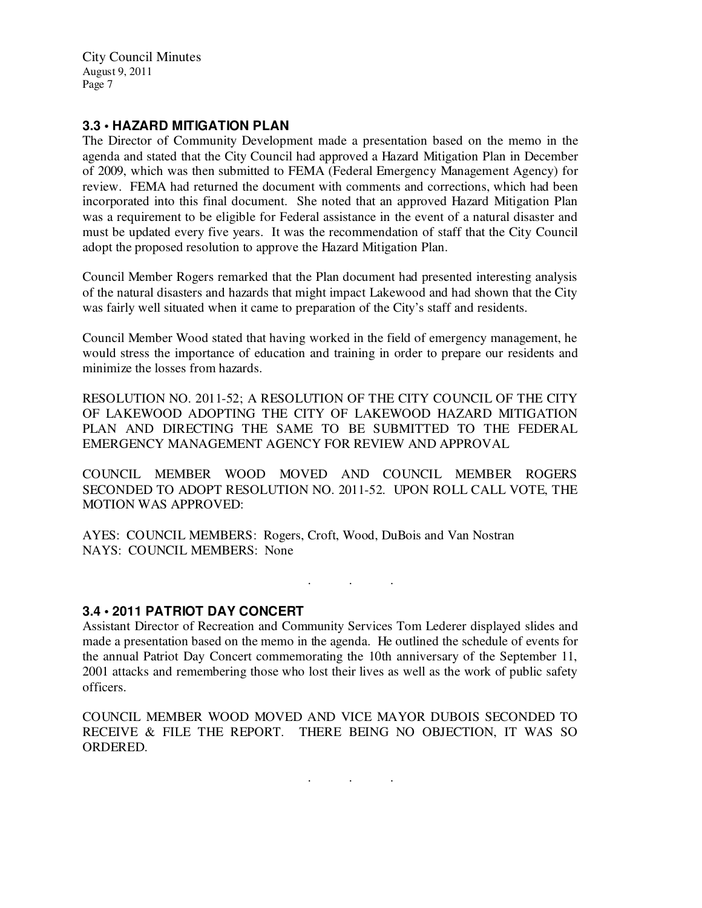## **3.3 • HAZARD MITIGATION PLAN**

The Director of Community Development made a presentation based on the memo in the agenda and stated that the City Council had approved a Hazard Mitigation Plan in December of 2009, which was then submitted to FEMA (Federal Emergency Management Agency) for review. FEMA had returned the document with comments and corrections, which had been incorporated into this final document. She noted that an approved Hazard Mitigation Plan was a requirement to be eligible for Federal assistance in the event of a natural disaster and must be updated every five years. It was the recommendation of staff that the City Council adopt the proposed resolution to approve the Hazard Mitigation Plan.

Council Member Rogers remarked that the Plan document had presented interesting analysis of the natural disasters and hazards that might impact Lakewood and had shown that the City was fairly well situated when it came to preparation of the City's staff and residents.

Council Member Wood stated that having worked in the field of emergency management, he would stress the importance of education and training in order to prepare our residents and minimize the losses from hazards.

RESOLUTION NO. 2011-52; A RESOLUTION OF THE CITY COUNCIL OF THE CITY OF LAKEWOOD ADOPTING THE CITY OF LAKEWOOD HAZARD MITIGATION PLAN AND DIRECTING THE SAME TO BE SUBMITTED TO THE FEDERAL EMERGENCY MANAGEMENT AGENCY FOR REVIEW AND APPROVAL

COUNCIL MEMBER WOOD MOVED AND COUNCIL MEMBER ROGERS SECONDED TO ADOPT RESOLUTION NO. 2011-52. UPON ROLL CALL VOTE, THE MOTION WAS APPROVED:

AYES: COUNCIL MEMBERS: Rogers, Croft, Wood, DuBois and Van Nostran NAYS: COUNCIL MEMBERS: None

. . .

### **3.4 • 2011 PATRIOT DAY CONCERT**

Assistant Director of Recreation and Community Services Tom Lederer displayed slides and made a presentation based on the memo in the agenda. He outlined the schedule of events for the annual Patriot Day Concert commemorating the 10th anniversary of the September 11, 2001 attacks and remembering those who lost their lives as well as the work of public safety officers.

COUNCIL MEMBER WOOD MOVED AND VICE MAYOR DUBOIS SECONDED TO RECEIVE & FILE THE REPORT. THERE BEING NO OBJECTION, IT WAS SO ORDERED.

. . .